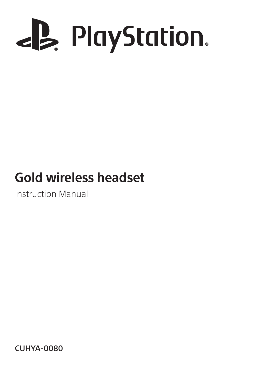

# **Gold wireless headset**

Instruction Manual

CUHYA-0080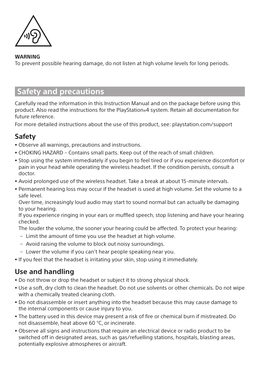

#### **WARNING**

To prevent possible hearing damage, do not listen at high volume levels for long periods.

# **Safety and precautions**

Carefully read the information in this Instruction Manual and on the package before using this product. Also read the instructions for the PlayStation®4 system. Retain all documentation for future reference.

For more detailed instructions about the use of this product, see: [playstation.com/support](http://playstation.com/support)

## **Safety**

- ˎ Observe all warnings, precautions and instructions.
- ˎ CHOKING HAZARD Contains small parts. Keep out of the reach of small children.
- ˎ Stop using the system immediately if you begin to feel tired or if you experience discomfort or pain in your head while operating the wireless headset. If the condition persists, consult a doctor.
- ˎ Avoid prolonged use of the wireless headset. Take a break at about 15-minute intervals.
- ˎ Permanent hearing loss may occur if the headset is used at high volume. Set the volume to a safe level.

Over time, increasingly loud audio may start to sound normal but can actually be damaging to your hearing.

If you experience ringing in your ears or muffled speech, stop listening and have your hearing checked.

The louder the volume, the sooner your hearing could be affected. To protect your hearing:

- Limit the amount of time you use the headset at high volume.
- Avoid raising the volume to block out noisy surroundings.
- Lower the volume if you can't hear people speaking near you.
- ˎ If you feel that the headset is irritating your skin, stop using it immediately.

## **Use and handling**

- ˎ Do not throw or drop the headset or subject it to strong physical shock.
- Use a soft, dry cloth to clean the headset. Do not use solvents or other chemicals. Do not wipe with a chemically treated cleaning cloth.
- ˎ Do not disassemble or insert anything into the headset because this may cause damage to the internal components or cause injury to you.
- ˎ The battery used in this device may present a risk of fire or chemical burn if mistreated. Do not disassemble, heat above 60 °C, or incinerate.
- ˎ Observe all signs and instructions that require an electrical device or radio product to be switched off in designated areas, such as gas/refuelling stations, hospitals, blasting areas, potentially explosive atmospheres or aircraft.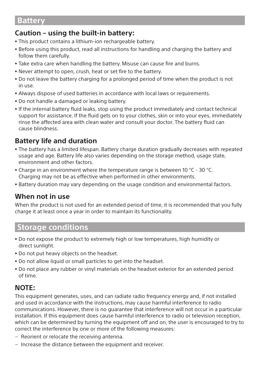## **Battery**

## **Caution – using the built-in battery:**

- ˎ This product contains a lithium-ion rechargeable battery.
- Before using this product, read all instructions for handling and charging the battery and follow them carefully.
- Take extra care when handling the battery. Misuse can cause fire and burns.
- ˎ Never attempt to open, crush, heat or set fire to the battery.
- ˎ Do not leave the battery charging for a prolonged period of time when the product is not in use.
- ˎ Always dispose of used batteries in accordance with local laws or requirements.
- ˎ Do not handle a damaged or leaking battery.
- ˎ If the internal battery fluid leaks, stop using the product immediately and contact technical support for assistance. If the fluid gets on to your clothes, skin or into your eyes, immediately rinse the affected area with clean water and consult your doctor. The battery fluid can cause blindness.

## **Battery life and duration**

- The battery has a limited lifespan. Battery charge duration gradually decreases with repeated usage and age. Battery life also varies depending on the storage method, usage state, environment and other factors.
- Charge in an environment where the temperature range is between 10 °C 30 °C. Charging may not be as effective when performed in other environments.
- Battery duration may vary depending on the usage condition and environmental factors.

#### **When not in use**

When the product is not used for an extended period of time, it is recommended that you fully charge it at least once a year in order to maintain its functionality.

## **Storage conditions**

- ˎ Do not expose the product to extremely high or low temperatures, high humidity or direct sunlight.
- ˎ Do not put heavy objects on the headset.
- ˎ Do not allow liquid or small particles to get into the headset.
- ˎ Do not place any rubber or vinyl materials on the headset exterior for an extended period of time.

## **NOTE:**

This equipment generates, uses, and can radiate radio frequency energy and, if not installed and used in accordance with the instructions, may cause harmful interference to radio communications. However, there is no guarantee that interference will not occur in a particular installation. If this equipment does cause harmful interference to radio or television reception, which can be determined by turning the equipment off and on, the user is encouraged to try to correct the interference by one or more of the following measures:

- Reorient or relocate the receiving antenna.
- Increase the distance between the equipment and receiver.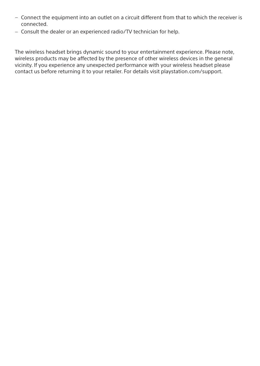- Connect the equipment into an outlet on a circuit different from that to which the receiver is connected.
- Consult the dealer or an experienced radio/TV technician for help.

The wireless headset brings dynamic sound to your entertainment experience. Please note, wireless products may be affected by the presence of other wireless devices in the general vicinity. If you experience any unexpected performance with your wireless headset please contact us before returning it to your retailer. For details visit [playstation.com/support.](http://playstation.com/support)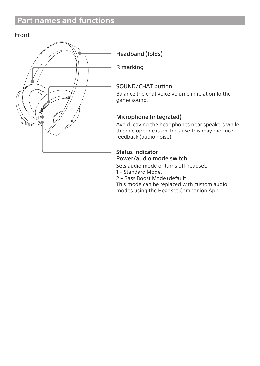# **Part names and functions**

#### Front



Headband (folds)

R marking

#### SOUND/CHAT button

Balance the chat voice volume in relation to the game sound.

#### Microphone (integrated)

Avoid leaving the headphones near speakers while the microphone is on, because this may produce feedback (audio noise).

#### Status indicator Power/audio mode switch

Sets audio mode or turns off headset.

1 – Standard Mode.

2 – Bass Boost Mode (default).

This mode can be replaced with custom audio modes using the Headset Companion App.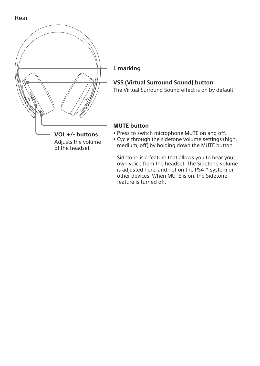



#### **L marking**

#### **VSS (Virtual Surround Sound) button**

The Virtual Surround Sound effect is on by default.

#### **MUTE button**

- ˎ Press to switch microphone MUTE on and off.
- ˎ Cycle through the sidetone volume settings (high, medium, off) by holding down the MUTE button.

Sidetone is a feature that allows you to hear your own voice from the headset. The Sidetone volume is adjusted here, and not on the PS4™ system or other devices. When MUTE is on, the Sidetone feature is turned off.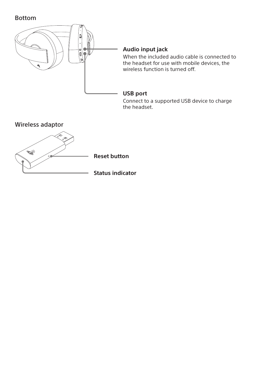Bottom



#### **Audio input jack**

When the included audio cable is connected to the headset for use with mobile devices, the wireless function is turned off.

#### **USB port**

Connect to a supported USB device to charge the headset.

Wireless adaptor



**Reset button**

**Status indicator**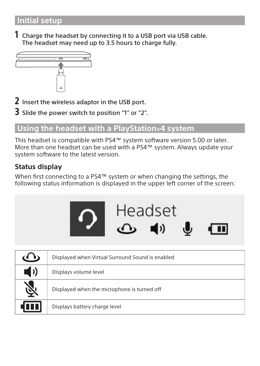1 Charge the headset by connecting it to a USB port via USB cable. The headset may need up to 3.5 hours to charge fully.



2 Insert the wireless adaptor in the USB port.

3 Slide the power switch to position "1" or "2".

# **Using the headset with a PlayStation®4 system**

This headset is compatible with PS4™ system software version 5.00 or later. More than one headset can be used with a PS4™ system. Always update your system software to the latest version.

# **Status display**

When first connecting to a PS4™ system or when changing the settings, the following status information is displayed in the upper left corner of the screen:



|                 | Displayed when Virtual Surround Sound is enabled |
|-----------------|--------------------------------------------------|
| $\blacklozenge$ | Displays volume level                            |
| F)              | Displayed when the microphone is turned off      |
| 10 U J          | Displays battery charge level                    |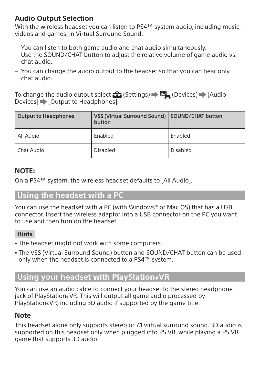## **Audio Output Selection**

With the wireless headset you can listen to PS4™ system audio, including music, videos and games, in Virtual Surround Sound.

- <sup>ˋ</sup> You can listen to both game audio and chat audio simultaneously. Use the SOUND/CHAT button to adjust the relative volume of game audio vs. chat audio.
- <sup>ˋ</sup> You can change the audio output to the headset so that you can hear only chat audio.

To change the audio output select  $\blacktriangle$  (Settings)  $\blacktriangleright \blacksquare$  (Devices)  $\blacktriangleright$  [Audio Devices $\overline{\mathbf{I}}$  [Output to Headphones].

| Output to Headphones | VSS (Virtual Surround Sound)   SOUND/CHAT button<br>button |          |
|----------------------|------------------------------------------------------------|----------|
| l All Audio          | Enabled                                                    | Enabled  |
| l Chat Audio         | Disabled                                                   | Disabled |

## **NOTE:**

On a PS4™ system, the wireless headset defaults to [All Audio].

# **Using the headset with a PC**

You can use the headset with a PC (with Windows® or Mac OS) that has a USB connector. Insert the wireless adaptor into a USB connector on the PC you want to use and then turn on the headset.

## **Hints**

- The headset might not work with some computers.
- The VSS (Virtual Surround Sound) button and SOUND/CHAT button can be used only when the headset is connected to a PS4™ system.

# **Using your headset with PlayStation®VR**

You can use an audio cable to connect your headset to the stereo headphone jack of PlayStation®VR. This will output all game audio processed by PlayStation®VR, including 3D audio if supported by the game title.

## **Note**

This headset alone only supports stereo or 7.1 virtual surround sound. 3D audio is supported on this headset only when plugged into PS VR, while playing a PS VR game that supports 3D audio.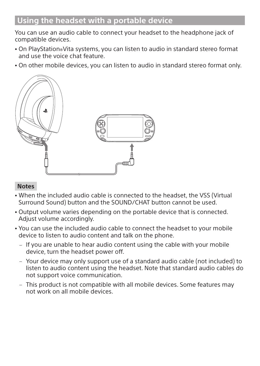# **Using the headset with a portable device**

You can use an audio cable to connect your headset to the headphone jack of compatible devices.

- <sup>ˎ</sup> On PlayStation®Vita systems, you can listen to audio in standard stereo format and use the voice chat feature.
- <sup>ˎ</sup> On other mobile devices, you can listen to audio in standard stereo format only.



#### **Notes**

- <sup>ˎ</sup> When the included audio cable is connected to the headset, the VSS (Virtual Surround Sound) button and the SOUND/CHAT button cannot be used.
- <sup>ˎ</sup> Output volume varies depending on the portable device that is connected. Adjust volume accordingly.
- <sup>ˎ</sup> You can use the included audio cable to connect the headset to your mobile device to listen to audio content and talk on the phone.
	- If you are unable to hear audio content using the cable with your mobile device, turn the headset power off.
	- Your device may only support use of a standard audio cable (not included) to listen to audio content using the headset. Note that standard audio cables do not support voice communication.
	- This product is not compatible with all mobile devices. Some features may not work on all mobile devices.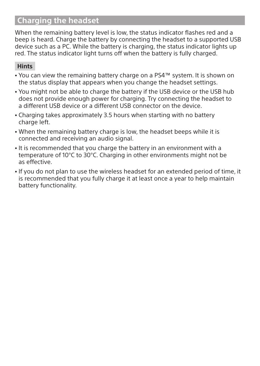# **Charging the headset**

When the remaining battery level is low, the status indicator flashes red and a beep is heard. Charge the battery by connecting the headset to a supported USB device such as a PC. While the battery is charging, the status indicator lights up red. The status indicator light turns off when the battery is fully charged.

#### **Hints**

- You can view the remaining battery charge on a PS4™ system. It is shown on the status display that appears when you change the headset settings.
- <sup>ˎ</sup> You might not be able to charge the battery if the USB device or the USB hub does not provide enough power for charging. Try connecting the headset to a different USB device or a different USB connector on the device.
- Charging takes approximately 3.5 hours when starting with no battery charge left.
- <sup>ˎ</sup> When the remaining battery charge is low, the headset beeps while it is connected and receiving an audio signal.
- <sup>ˎ</sup> It is recommended that you charge the battery in an environment with a temperature of 10°C to 30°C. Charging in other environments might not be as effective.
- <sup>ˎ</sup> If you do not plan to use the wireless headset for an extended period of time, it is recommended that you fully charge it at least once a year to help maintain battery functionality.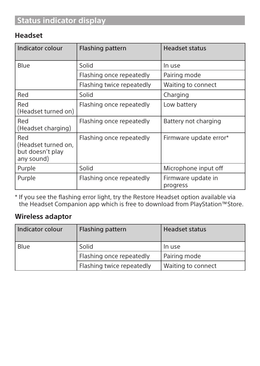# **Status indicator display**

## **Headset**

| <b>Indicator colour</b>                                      | Flashing pattern          | <b>Headset status</b>          |
|--------------------------------------------------------------|---------------------------|--------------------------------|
| Blue                                                         | Solid                     | In use                         |
|                                                              | Flashing once repeatedly  | Pairing mode                   |
|                                                              | Flashing twice repeatedly | Waiting to connect             |
| Red                                                          | Solid                     | Charging                       |
| Red<br>(Headset turned on)                                   | Flashing once repeatedly  | Low battery                    |
| Red<br>(Headset charging)                                    | Flashing once repeatedly  | Battery not charging           |
| Red<br>(Headset turned on,<br>but doesn't play<br>any sound) | Flashing once repeatedly  | Firmware update error*         |
| Purple                                                       | Solid                     | Microphone input off           |
| Purple                                                       | Flashing once repeatedly  | Firmware update in<br>progress |

\* If you see the flashing error light, try the Restore Headset option available via the Headset Companion app which is free to download from PlayStation™Store.

#### **Wireless adaptor**

| Indicator colour | Flashing pattern          | <b>Headset status</b> |
|------------------|---------------------------|-----------------------|
| Blue             | Solid                     | In use                |
|                  | Flashing once repeatedly  | Pairing mode          |
|                  | Flashing twice repeatedly | Waiting to connect    |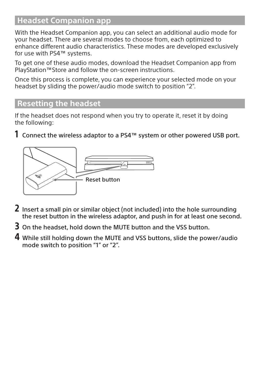# **Headset Companion app**

With the Headset Companion app, you can select an additional audio mode for your headset. There are several modes to choose from, each optimized to enhance different audio characteristics. These modes are developed exclusively for use with PS4™ systems.

To get one of these audio modes, download the Headset Companion app from PlayStation™Store and follow the on-screen instructions.

Once this process is complete, you can experience your selected mode on your headset by sliding the power/audio mode switch to position "2".

# **Resetting the headset**

If the headset does not respond when you try to operate it, reset it by doing the following:

 $1$  Connect the wireless adaptor to a PS4<sup>™</sup> system or other powered USB port.



- 2 Insert a small pin or similar object (not included) into the hole surrounding the reset button in the wireless adaptor, and push in for at least one second.
- 3 On the headset, hold down the MUTE button and the VSS button.
- 4 While still holding down the MUTE and VSS buttons, slide the power/audio mode switch to position "1" or "2".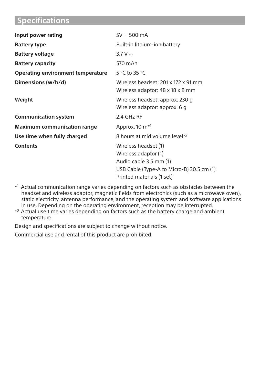# **Specifications**

| Input power rating                 | $5V = 500$ mA                                                                                                                                    |
|------------------------------------|--------------------------------------------------------------------------------------------------------------------------------------------------|
| <b>Battery type</b>                | Built-in lithium-ion battery                                                                                                                     |
| <b>Battery voltage</b>             | $3.7 V =$                                                                                                                                        |
| <b>Battery capacity</b>            | 570 mAh                                                                                                                                          |
| Operating environment temperature  | 5 °C to 35 °C                                                                                                                                    |
| Dimensions (w/h/d)                 | Wireless headset: 201 x 172 x 91 mm<br>Wireless adaptor: 48 x 18 x 8 mm                                                                          |
| Weight                             | Wireless headset: approx. 230 g<br>Wireless adaptor: approx. 6 g                                                                                 |
| <b>Communication system</b>        | 2.4 GHz RF                                                                                                                                       |
| <b>Maximum communication range</b> | Approx. 10 m <sup>*1</sup>                                                                                                                       |
| Use time when fully charged        | 8 hours at mid volume level*2                                                                                                                    |
| <b>Contents</b>                    | Wireless headset (1)<br>Wireless adaptor (1)<br>Audio cable 3.5 mm (1)<br>USB Cable (Type-A to Micro-B) 30.5 cm (1)<br>Printed materials (1 set) |

\*1 Actual communication range varies depending on factors such as obstacles between the headset and wireless adaptor, magnetic fields from electronics (such as a microwave oven), static electricity, antenna performance, and the operating system and software applications in use. Depending on the operating environment, reception may be interrupted.

\*2 Actual use time varies depending on factors such as the battery charge and ambient temperature.

Design and specifications are subject to change without notice.

Commercial use and rental of this product are prohibited.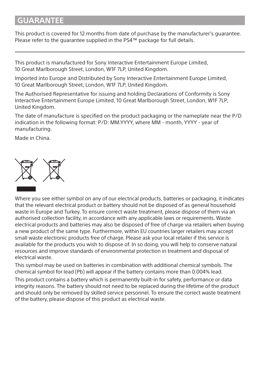## **GUARANTEE**

This product is covered for 12 months from date of purchase by the manufacturer's guarantee. Please refer to the guarantee supplied in the PS4™ package for full details.

This product is manufactured for Sony Interactive Entertainment Europe Limited, 10 Great Marlborough Street, London, W1F 7LP, United Kingdom.

Imported into Europe and Distributed by Sony Interactive Entertainment Europe Limited, 10 Great Marlborough Street, London, W1F 7LP, United Kingdom.

The Authorised Representative for issuing and holding Declarations of Conformity is Sony Interactive Entertainment Europe Limited, 10 Great Marlborough Street, London, W1F 7LP, United Kingdom.

The date of manufacture is specified on the product packaging or the nameplate near the P/D indication in the following format: P/D: MM.YYYY, where MM - month, YYYY - year of manufacturing.

Made in China.



Where you see either symbol on any of our electrical products, batteries or packaging, it indicates that the relevant electrical product or battery should not be disposed of as general household waste in Europe and Turkey. To ensure correct waste treatment, please dispose of them via an authorised collection facility, in accordance with any applicable laws or requirements. Waste electrical products and batteries may also be disposed of free of charge via retailers when buying a new product of the same type. Furthermore, within EU countries larger retailers may accept small waste electronic products free of charge. Please ask your local retailer if this service is available for the products you wish to dispose of. In so doing, you will help to conserve natural resources and improve standards of environmental protection in treatment and disposal of electrical waste.

This symbol may be used on batteries in combination with additional chemical symbols. The chemical symbol for lead (Pb) will appear if the battery contains more than 0.004% lead.

This product contains a battery which is permanently built-in for safety, performance or data integrity reasons. The battery should not need to be replaced during the lifetime of the product and should only be removed by skilled service personnel. To ensure the correct waste treatment of the battery, please dispose of this product as electrical waste.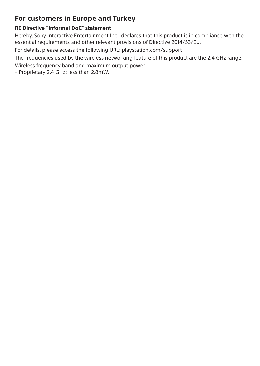## **For customers in Europe and Turkey**

#### **RE Directive "Informal DoC" statement**

Hereby, Sony Interactive Entertainment Inc., declares that this product is in compliance with the essential requirements and other relevant provisions of Directive 2014/53/EU.

For details, please access the following URL: [playstation.com/support](http://playstation.com/support)

The frequencies used by the wireless networking feature of this product are the 2.4 GHz range.

Wireless frequency band and maximum output power:

– Proprietary 2.4 GHz: less than 2.8mW.